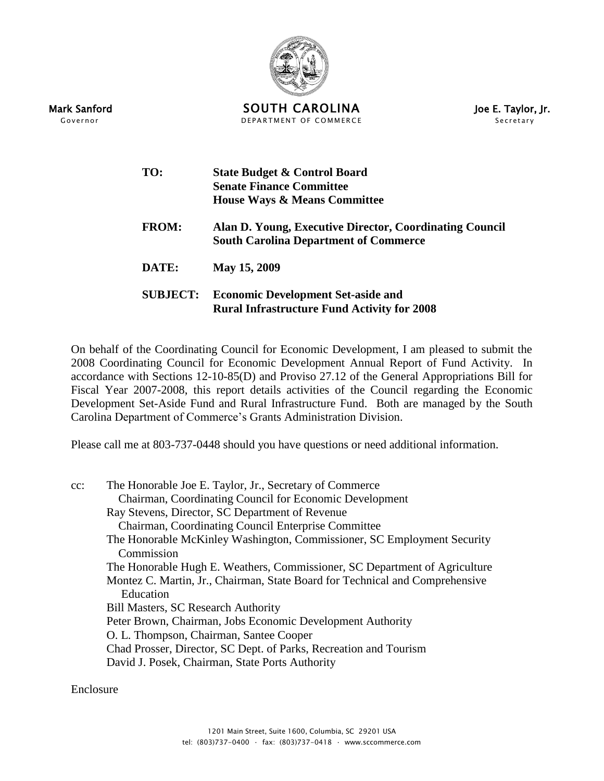

Mark Sanford **SOUTH CAROLINA** Joe E. Taylor, Jr. Governor The Secretary COMMERCE COMMERCE COMMERCE Secretary

| TO:             | <b>State Budget &amp; Control Board</b><br><b>Senate Finance Committee</b><br><b>House Ways &amp; Means Committee</b> |
|-----------------|-----------------------------------------------------------------------------------------------------------------------|
| <b>FROM:</b>    | Alan D. Young, Executive Director, Coordinating Council<br><b>South Carolina Department of Commerce</b>               |
| DATE:           | May 15, 2009                                                                                                          |
| <b>SUBJECT:</b> | <b>Economic Development Set-aside and</b><br><b>Rural Infrastructure Fund Activity for 2008</b>                       |

On behalf of the Coordinating Council for Economic Development, I am pleased to submit the 2008 Coordinating Council for Economic Development Annual Report of Fund Activity. In accordance with Sections 12-10-85(D) and Proviso 27.12 of the General Appropriations Bill for Fiscal Year 2007-2008, this report details activities of the Council regarding the Economic Development Set-Aside Fund and Rural Infrastructure Fund. Both are managed by the South Carolina Department of Commerce's Grants Administration Division.

Please call me at 803-737-0448 should you have questions or need additional information.

cc: The Honorable Joe E. Taylor, Jr., Secretary of Commerce Chairman, Coordinating Council for Economic Development Ray Stevens, Director, SC Department of Revenue Chairman, Coordinating Council Enterprise Committee The Honorable McKinley Washington, Commissioner, SC Employment Security Commission The Honorable Hugh E. Weathers, Commissioner, SC Department of Agriculture Montez C. Martin, Jr., Chairman, State Board for Technical and Comprehensive Education Bill Masters, SC Research Authority Peter Brown, Chairman, Jobs Economic Development Authority O. L. Thompson, Chairman, Santee Cooper Chad Prosser, Director, SC Dept. of Parks, Recreation and Tourism David J. Posek, Chairman, State Ports Authority

Enclosure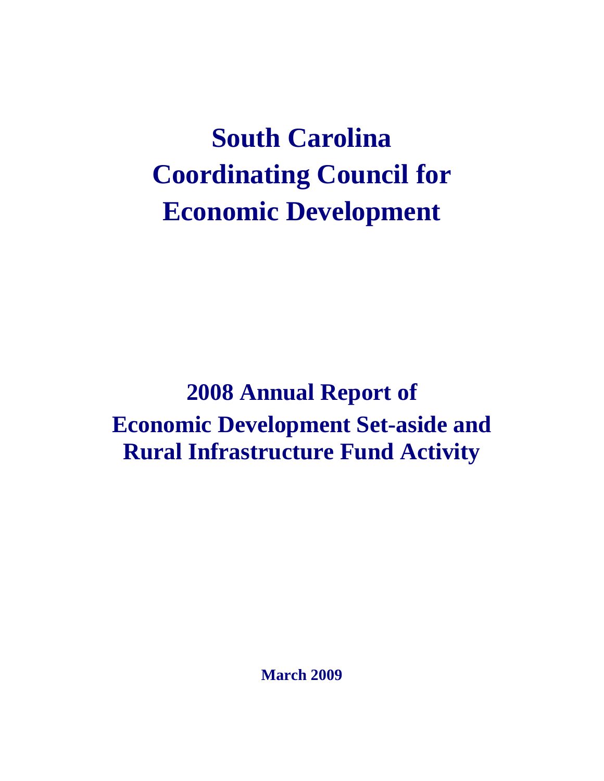# **South Carolina Coordinating Council for Economic Development**

**2008 Annual Report of Economic Development Set-aside and Rural Infrastructure Fund Activity**

**March 2009**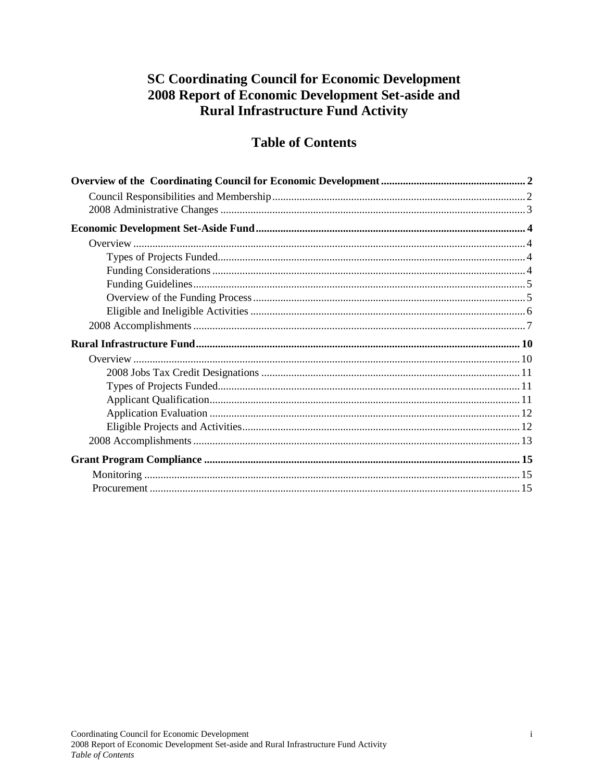## **SC Coordinating Council for Economic Development** 2008 Report of Economic Development Set-aside and Rural Infrastructure Fund Activity

## **Table of Contents**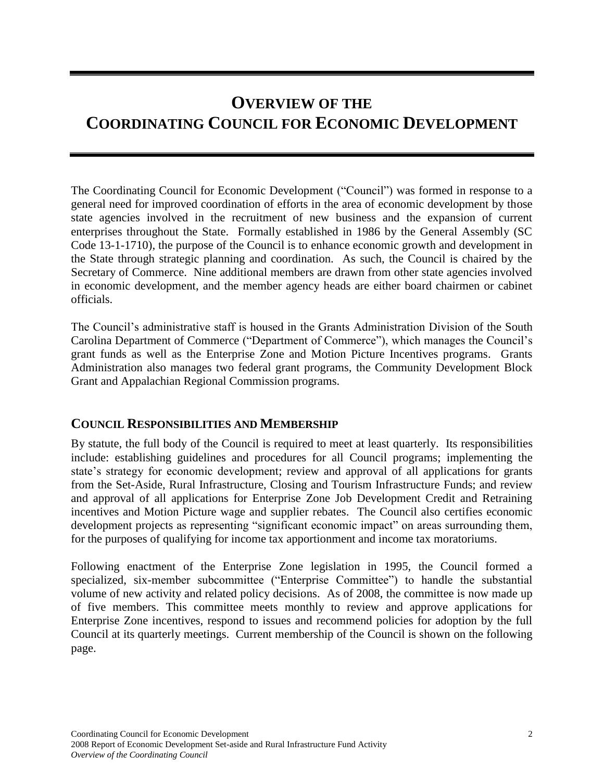# <span id="page-3-0"></span>**OVERVIEW OF THE COORDINATING COUNCIL FOR ECONOMIC DEVELOPMENT**

The Coordinating Council for Economic Development ("Council") was formed in response to a general need for improved coordination of efforts in the area of economic development by those state agencies involved in the recruitment of new business and the expansion of current enterprises throughout the State. Formally established in 1986 by the General Assembly (SC Code 13-1-1710), the purpose of the Council is to enhance economic growth and development in the State through strategic planning and coordination. As such, the Council is chaired by the Secretary of Commerce. Nine additional members are drawn from other state agencies involved in economic development, and the member agency heads are either board chairmen or cabinet officials.

The Council's administrative staff is housed in the Grants Administration Division of the South Carolina Department of Commerce ("Department of Commerce"), which manages the Council's grant funds as well as the Enterprise Zone and Motion Picture Incentives programs. Grants Administration also manages two federal grant programs, the Community Development Block Grant and Appalachian Regional Commission programs.

## <span id="page-3-1"></span>**COUNCIL RESPONSIBILITIES AND MEMBERSHIP**

By statute, the full body of the Council is required to meet at least quarterly. Its responsibilities include: establishing guidelines and procedures for all Council programs; implementing the state's strategy for economic development; review and approval of all applications for grants from the Set-Aside, Rural Infrastructure, Closing and Tourism Infrastructure Funds; and review and approval of all applications for Enterprise Zone Job Development Credit and Retraining incentives and Motion Picture wage and supplier rebates. The Council also certifies economic development projects as representing "significant economic impact" on areas surrounding them, for the purposes of qualifying for income tax apportionment and income tax moratoriums.

Following enactment of the Enterprise Zone legislation in 1995, the Council formed a specialized, six-member subcommittee ("Enterprise Committee") to handle the substantial volume of new activity and related policy decisions. As of 2008, the committee is now made up of five members. This committee meets monthly to review and approve applications for Enterprise Zone incentives, respond to issues and recommend policies for adoption by the full Council at its quarterly meetings. Current membership of the Council is shown on the following page.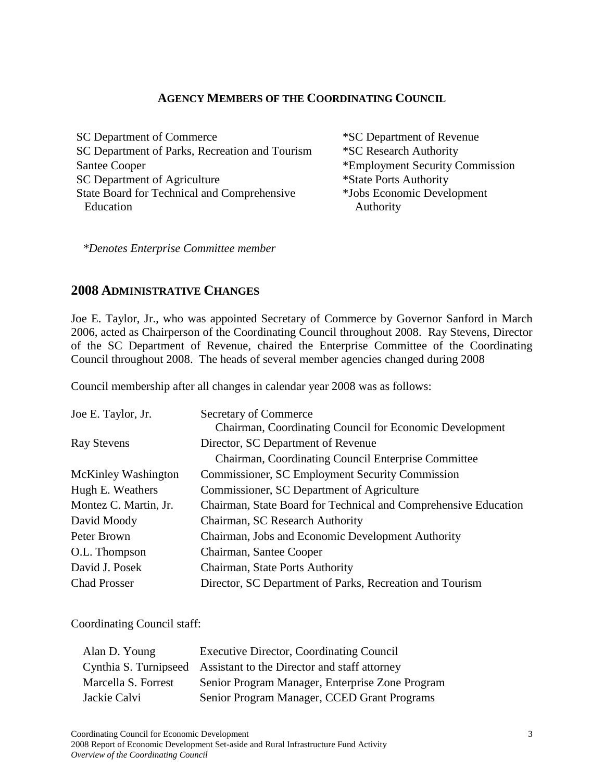#### **AGENCY MEMBERS OF THE COORDINATING COUNCIL**

SC Department of Commerce \*SC Department of Revenue SC Department of Parks, Recreation and Tourism \*SC Research Authority Santee Cooper \*Employment Security Commission SC Department of Agriculture State Board for Technical and Comprehensive Education

\*State Ports Authority \*Jobs Economic Development Authority

*\*Denotes Enterprise Committee member*

#### <span id="page-4-0"></span>**2008 ADMINISTRATIVE CHANGES**

Joe E. Taylor, Jr., who was appointed Secretary of Commerce by Governor Sanford in March 2006, acted as Chairperson of the Coordinating Council throughout 2008. Ray Stevens, Director of the SC Department of Revenue, chaired the Enterprise Committee of the Coordinating Council throughout 2008. The heads of several member agencies changed during 2008

Council membership after all changes in calendar year 2008 was as follows:

| Secretary of Commerce                                           |
|-----------------------------------------------------------------|
| Chairman, Coordinating Council for Economic Development         |
| Director, SC Department of Revenue                              |
| Chairman, Coordinating Council Enterprise Committee             |
| <b>Commissioner, SC Employment Security Commission</b>          |
| Commissioner, SC Department of Agriculture                      |
| Chairman, State Board for Technical and Comprehensive Education |
| Chairman, SC Research Authority                                 |
| Chairman, Jobs and Economic Development Authority               |
| Chairman, Santee Cooper                                         |
| Chairman, State Ports Authority                                 |
| Director, SC Department of Parks, Recreation and Tourism        |
|                                                                 |

Coordinating Council staff:

| Alan D. Young       | <b>Executive Director, Coordinating Council</b>                    |
|---------------------|--------------------------------------------------------------------|
|                     | Cynthia S. Turnipseed Assistant to the Director and staff attorney |
| Marcella S. Forrest | Senior Program Manager, Enterprise Zone Program                    |
| Jackie Calvi        | Senior Program Manager, CCED Grant Programs                        |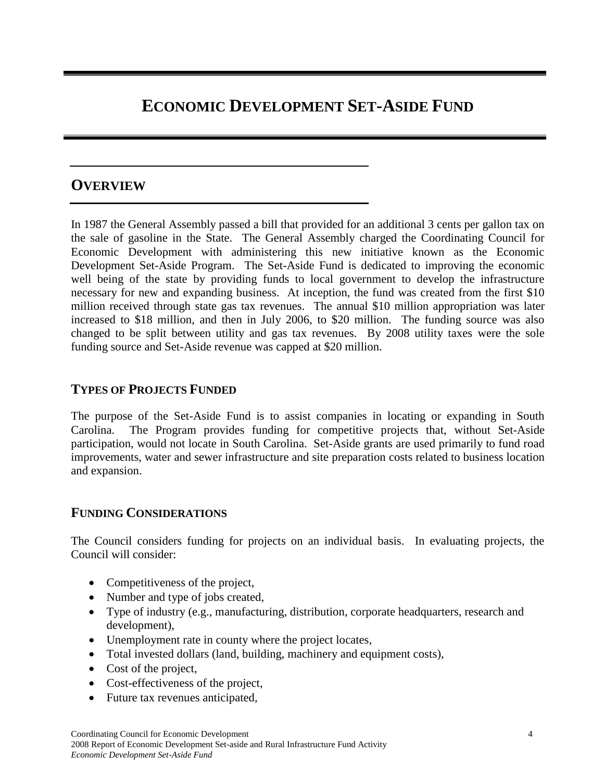# <span id="page-5-0"></span>**ECONOMIC DEVELOPMENT SET-ASIDE FUND**

## <span id="page-5-1"></span>**OVERVIEW**

In 1987 the General Assembly passed a bill that provided for an additional 3 cents per gallon tax on the sale of gasoline in the State. The General Assembly charged the Coordinating Council for Economic Development with administering this new initiative known as the Economic Development Set-Aside Program. The Set-Aside Fund is dedicated to improving the economic well being of the state by providing funds to local government to develop the infrastructure necessary for new and expanding business. At inception, the fund was created from the first \$10 million received through state gas tax revenues. The annual \$10 million appropriation was later increased to \$18 million, and then in July 2006, to \$20 million. The funding source was also changed to be split between utility and gas tax revenues. By 2008 utility taxes were the sole funding source and Set-Aside revenue was capped at \$20 million.

### <span id="page-5-2"></span>**TYPES OF PROJECTS FUNDED**

The purpose of the Set-Aside Fund is to assist companies in locating or expanding in South Carolina. The Program provides funding for competitive projects that, without Set-Aside participation, would not locate in South Carolina. Set-Aside grants are used primarily to fund road improvements, water and sewer infrastructure and site preparation costs related to business location and expansion.

## <span id="page-5-3"></span>**FUNDING CONSIDERATIONS**

The Council considers funding for projects on an individual basis. In evaluating projects, the Council will consider:

- Competitiveness of the project,
- Number and type of jobs created,
- Type of industry (e.g., manufacturing, distribution, corporate headquarters, research and development),
- Unemployment rate in county where the project locates,
- Total invested dollars (land, building, machinery and equipment costs),
- Cost of the project,
- Cost-effectiveness of the project,
- Future tax revenues anticipated,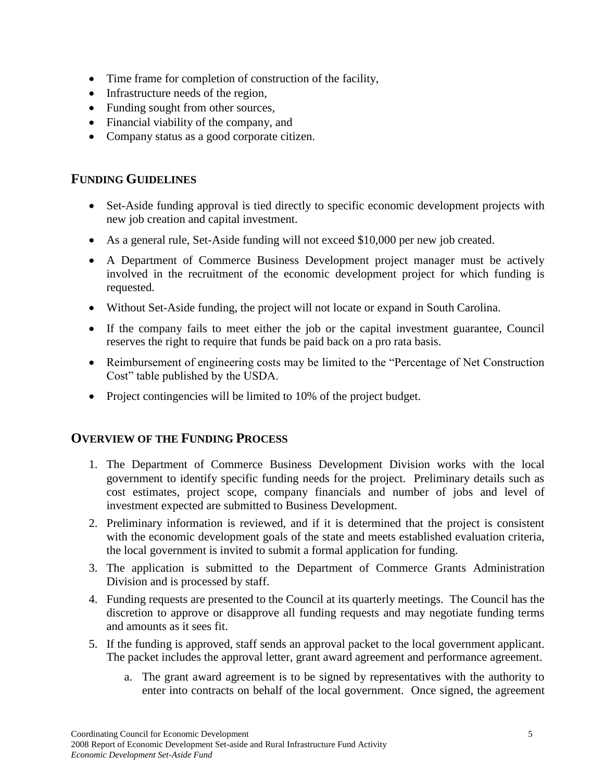- Time frame for completion of construction of the facility,
- Infrastructure needs of the region,
- Funding sought from other sources,
- Financial viability of the company, and
- Company status as a good corporate citizen.

## <span id="page-6-0"></span>**FUNDING GUIDELINES**

- Set-Aside funding approval is tied directly to specific economic development projects with new job creation and capital investment.
- As a general rule, Set-Aside funding will not exceed \$10,000 per new job created.
- A Department of Commerce Business Development project manager must be actively involved in the recruitment of the economic development project for which funding is requested.
- Without Set-Aside funding, the project will not locate or expand in South Carolina.
- If the company fails to meet either the job or the capital investment guarantee, Council reserves the right to require that funds be paid back on a pro rata basis.
- Reimbursement of engineering costs may be limited to the "Percentage of Net Construction" Cost" table published by the USDA.
- Project contingencies will be limited to 10% of the project budget.

## <span id="page-6-1"></span>**OVERVIEW OF THE FUNDING PROCESS**

- 1. The Department of Commerce Business Development Division works with the local government to identify specific funding needs for the project. Preliminary details such as cost estimates, project scope, company financials and number of jobs and level of investment expected are submitted to Business Development.
- 2. Preliminary information is reviewed, and if it is determined that the project is consistent with the economic development goals of the state and meets established evaluation criteria, the local government is invited to submit a formal application for funding.
- 3. The application is submitted to the Department of Commerce Grants Administration Division and is processed by staff.
- 4. Funding requests are presented to the Council at its quarterly meetings. The Council has the discretion to approve or disapprove all funding requests and may negotiate funding terms and amounts as it sees fit.
- 5. If the funding is approved, staff sends an approval packet to the local government applicant. The packet includes the approval letter, grant award agreement and performance agreement.
	- a. The grant award agreement is to be signed by representatives with the authority to enter into contracts on behalf of the local government. Once signed, the agreement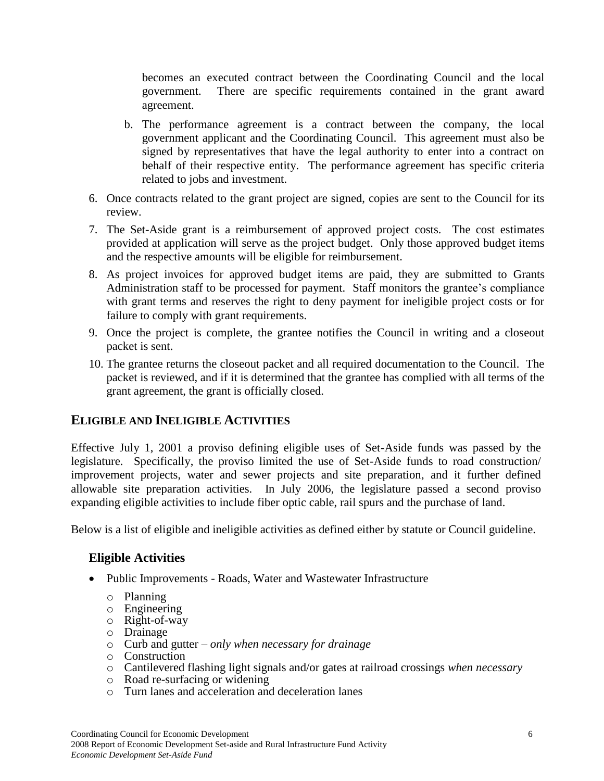becomes an executed contract between the Coordinating Council and the local government. There are specific requirements contained in the grant award agreement.

- b. The performance agreement is a contract between the company, the local government applicant and the Coordinating Council. This agreement must also be signed by representatives that have the legal authority to enter into a contract on behalf of their respective entity. The performance agreement has specific criteria related to jobs and investment.
- 6. Once contracts related to the grant project are signed, copies are sent to the Council for its review.
- 7. The Set-Aside grant is a reimbursement of approved project costs. The cost estimates provided at application will serve as the project budget. Only those approved budget items and the respective amounts will be eligible for reimbursement.
- 8. As project invoices for approved budget items are paid, they are submitted to Grants Administration staff to be processed for payment. Staff monitors the grantee's compliance with grant terms and reserves the right to deny payment for ineligible project costs or for failure to comply with grant requirements.
- 9. Once the project is complete, the grantee notifies the Council in writing and a closeout packet is sent.
- 10. The grantee returns the closeout packet and all required documentation to the Council. The packet is reviewed, and if it is determined that the grantee has complied with all terms of the grant agreement, the grant is officially closed.

## <span id="page-7-0"></span>**ELIGIBLE AND INELIGIBLE ACTIVITIES**

Effective July 1, 2001 a proviso defining eligible uses of Set-Aside funds was passed by the legislature. Specifically, the proviso limited the use of Set-Aside funds to road construction/ improvement projects, water and sewer projects and site preparation, and it further defined allowable site preparation activities. In July 2006, the legislature passed a second proviso expanding eligible activities to include fiber optic cable, rail spurs and the purchase of land.

Below is a list of eligible and ineligible activities as defined either by statute or Council guideline.

#### **Eligible Activities**

- Public Improvements Roads, Water and Wastewater Infrastructure
	- o Planning
	- o Engineering
	- o Right-of-way
	- o Drainage
	- o Curb and gutter *only when necessary for drainage*
	- o Construction
	- o Cantilevered flashing light signals and/or gates at railroad crossings *when necessary*
	- o Road re-surfacing or widening
	- o Turn lanes and acceleration and deceleration lanes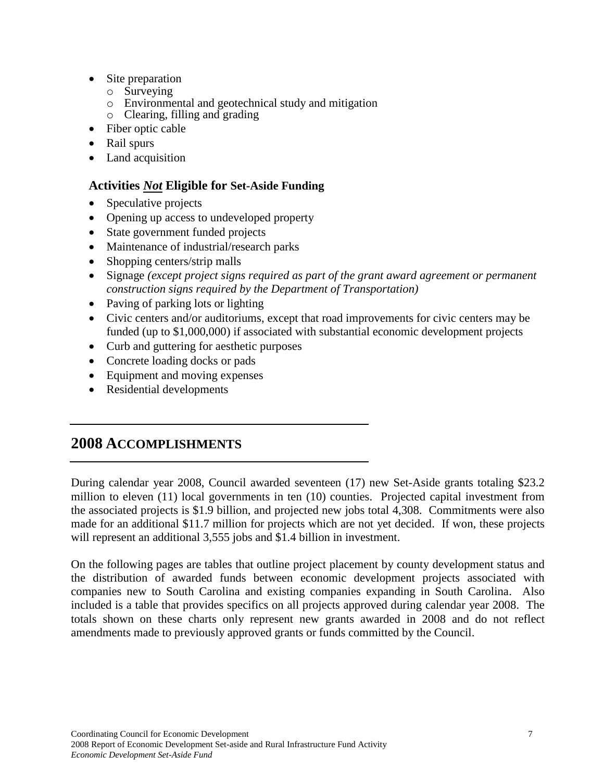- Site preparation
	- o Surveying
	- o Environmental and geotechnical study and mitigation
	- o Clearing, filling and grading
- Fiber optic cable
- Rail spurs
- Land acquisition

## **Activities** *Not* **Eligible for Set-Aside Funding**

- Speculative projects
- Opening up access to undeveloped property
- State government funded projects
- Maintenance of industrial/research parks
- Shopping centers/strip malls
- Signage *(except project signs required as part of the grant award agreement or permanent construction signs required by the Department of Transportation)*
- Paving of parking lots or lighting
- Civic centers and/or auditoriums, except that road improvements for civic centers may be funded (up to \$1,000,000) if associated with substantial economic development projects
- Curb and guttering for aesthetic purposes
- Concrete loading docks or pads
- Equipment and moving expenses
- Residential developments

## <span id="page-8-0"></span>**2008 ACCOMPLISHMENTS**

During calendar year 2008, Council awarded seventeen (17) new Set-Aside grants totaling \$23.2 million to eleven (11) local governments in ten (10) counties. Projected capital investment from the associated projects is \$1.9 billion, and projected new jobs total 4,308. Commitments were also made for an additional \$11.7 million for projects which are not yet decided. If won, these projects will represent an additional 3,555 jobs and \$1.4 billion in investment.

On the following pages are tables that outline project placement by county development status and the distribution of awarded funds between economic development projects associated with companies new to South Carolina and existing companies expanding in South Carolina. Also included is a table that provides specifics on all projects approved during calendar year 2008. The totals shown on these charts only represent new grants awarded in 2008 and do not reflect amendments made to previously approved grants or funds committed by the Council.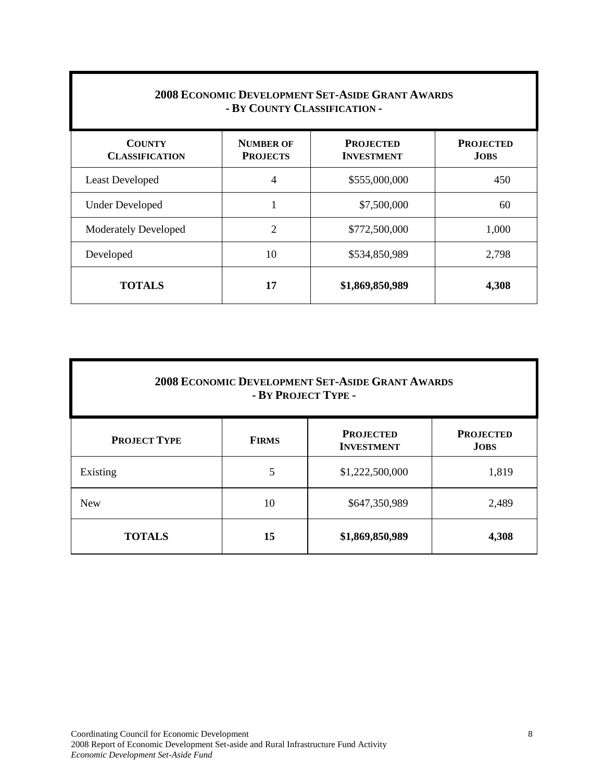| <b>2008 ECONOMIC DEVELOPMENT SET-ASIDE GRANT AWARDS</b><br>- BY COUNTY CLASSIFICATION - |                                     |                                       |                                 |  |  |  |
|-----------------------------------------------------------------------------------------|-------------------------------------|---------------------------------------|---------------------------------|--|--|--|
| <b>COUNTY</b><br><b>CLASSIFICATION</b>                                                  | <b>NUMBER OF</b><br><b>PROJECTS</b> | <b>PROJECTED</b><br><b>INVESTMENT</b> | <b>PROJECTED</b><br><b>JOBS</b> |  |  |  |
| <b>Least Developed</b>                                                                  | 4                                   | \$555,000,000                         | 450                             |  |  |  |
| <b>Under Developed</b>                                                                  | $\mathbf{1}$                        | \$7,500,000                           | 60                              |  |  |  |
| <b>Moderately Developed</b>                                                             | $\overline{2}$                      | \$772,500,000                         | 1,000                           |  |  |  |
| Developed                                                                               | 10                                  | \$534,850,989                         | 2,798                           |  |  |  |
| <b>TOTALS</b>                                                                           | 17                                  | \$1,869,850,989                       | 4,308                           |  |  |  |

| <b>2008 ECONOMIC DEVELOPMENT SET-ASIDE GRANT AWARDS</b><br>- BY PROJECT TYPE - |              |                                       |                                 |  |  |  |
|--------------------------------------------------------------------------------|--------------|---------------------------------------|---------------------------------|--|--|--|
| <b>PROJECT TYPE</b>                                                            | <b>FIRMS</b> | <b>PROJECTED</b><br><b>INVESTMENT</b> | <b>PROJECTED</b><br><b>JOBS</b> |  |  |  |
| Existing                                                                       | 5            | \$1,222,500,000                       | 1,819                           |  |  |  |
| <b>New</b>                                                                     | 10           | \$647,350,989                         | 2,489                           |  |  |  |
| <b>TOTALS</b>                                                                  | 15           | \$1,869,850,989                       | 4,308                           |  |  |  |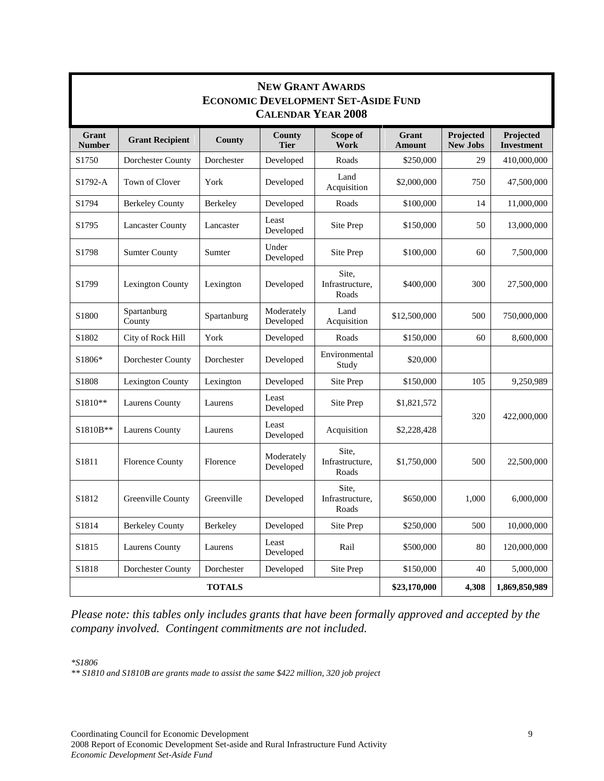| <b>NEW GRANT AWARDS</b><br><b>ECONOMIC DEVELOPMENT SET-ASIDE FUND</b><br><b>CALENDAR YEAR 2008</b> |                         |             |                         |                                   |                        |                              |                         |  |
|----------------------------------------------------------------------------------------------------|-------------------------|-------------|-------------------------|-----------------------------------|------------------------|------------------------------|-------------------------|--|
| Grant<br><b>Number</b>                                                                             | <b>Grant Recipient</b>  | County      | County<br><b>Tier</b>   | Scope of<br>Work                  | Grant<br><b>Amount</b> | Projected<br><b>New Jobs</b> | Projected<br>Investment |  |
| S1750                                                                                              | Dorchester County       | Dorchester  | Developed               | Roads                             | \$250,000              | 29                           | 410,000,000             |  |
| S1792-A                                                                                            | Town of Clover          | York        | Developed               | Land<br>Acquisition               | \$2,000,000            | 750                          | 47,500,000              |  |
| S1794                                                                                              | <b>Berkeley County</b>  | Berkeley    | Developed               | Roads                             | \$100,000              | 14                           | 11,000,000              |  |
| S1795                                                                                              | <b>Lancaster County</b> | Lancaster   | Least<br>Developed      | Site Prep                         | \$150,000              | 50                           | 13,000,000              |  |
| S1798                                                                                              | <b>Sumter County</b>    | Sumter      | Under<br>Developed      | Site Prep                         | \$100,000              | 60                           | 7,500,000               |  |
| S1799                                                                                              | <b>Lexington County</b> | Lexington   | Developed               | Site,<br>Infrastructure,<br>Roads | \$400,000              | 300                          | 27,500,000              |  |
| S <sub>1800</sub>                                                                                  | Spartanburg<br>County   | Spartanburg | Moderately<br>Developed | Land<br>Acquisition               | \$12,500,000           | 500                          | 750,000,000             |  |
| S1802                                                                                              | City of Rock Hill       | York        | Developed               | Roads                             | \$150,000              | 60                           | 8,600,000               |  |
| S1806*                                                                                             | Dorchester County       | Dorchester  | Developed               | Environmental<br>Study            | \$20,000               |                              |                         |  |
| S1808                                                                                              | <b>Lexington County</b> | Lexington   | Developed               | Site Prep                         | \$150,000              | 105                          | 9,250,989               |  |
| S1810**                                                                                            | Laurens County          | Laurens     | Least<br>Developed      | Site Prep                         | \$1,821,572            | 320                          | 422,000,000             |  |
| S1810B**                                                                                           | Laurens County          | Laurens     | Least<br>Developed      | Acquisition                       | \$2,228,428            |                              |                         |  |
| S1811                                                                                              | <b>Florence County</b>  | Florence    | Moderately<br>Developed | Site,<br>Infrastructure,<br>Roads | \$1,750,000            | 500                          | 22,500,000              |  |
| S1812                                                                                              | Greenville County       | Greenville  | Developed               | Site,<br>Infrastructure,<br>Roads | \$650,000              | 1,000                        | 6,000,000               |  |
| S1814                                                                                              | <b>Berkeley County</b>  | Berkeley    | Developed               | Site Prep                         | \$250,000              | 500                          | 10,000,000              |  |
| S1815                                                                                              | Laurens County          | Laurens     | Least<br>Developed      | Rail                              | \$500,000              | 80                           | 120,000,000             |  |
| S1818                                                                                              | Dorchester County       | Dorchester  | Developed               | Site Prep                         | \$150,000              | 40                           | 5,000,000               |  |
|                                                                                                    | <b>TOTALS</b>           |             |                         |                                   |                        | 4,308                        | 1,869,850,989           |  |

*Please note: this tables only includes grants that have been formally approved and accepted by the company involved. Contingent commitments are not included.*

*\*S1806* 

*\*\* S1810 and S1810B are grants made to assist the same \$422 million, 320 job project*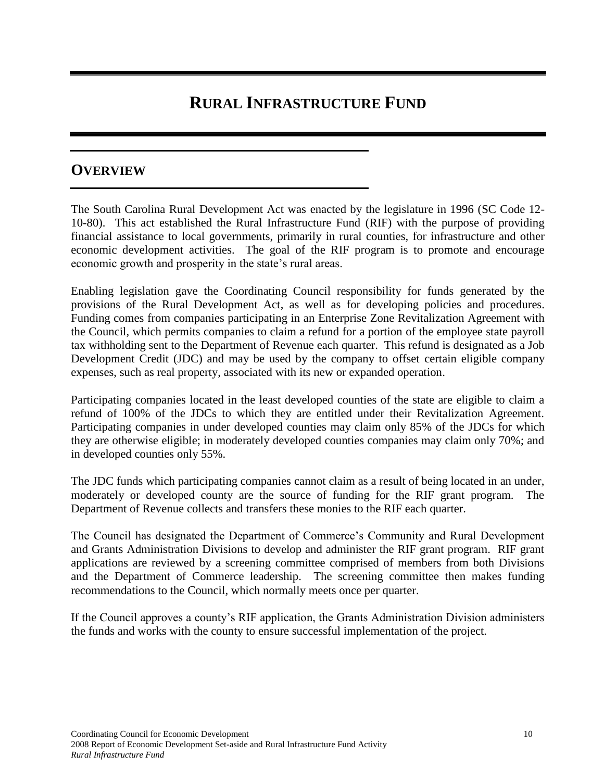# **RURAL INFRASTRUCTURE FUND**

## <span id="page-11-1"></span><span id="page-11-0"></span>**OVERVIEW**

The South Carolina Rural Development Act was enacted by the legislature in 1996 (SC Code 12- 10-80). This act established the Rural Infrastructure Fund (RIF) with the purpose of providing financial assistance to local governments, primarily in rural counties, for infrastructure and other economic development activities. The goal of the RIF program is to promote and encourage economic growth and prosperity in the state's rural areas.

Enabling legislation gave the Coordinating Council responsibility for funds generated by the provisions of the Rural Development Act, as well as for developing policies and procedures. Funding comes from companies participating in an Enterprise Zone Revitalization Agreement with the Council, which permits companies to claim a refund for a portion of the employee state payroll tax withholding sent to the Department of Revenue each quarter. This refund is designated as a Job Development Credit (JDC) and may be used by the company to offset certain eligible company expenses, such as real property, associated with its new or expanded operation.

Participating companies located in the least developed counties of the state are eligible to claim a refund of 100% of the JDCs to which they are entitled under their Revitalization Agreement. Participating companies in under developed counties may claim only 85% of the JDCs for which they are otherwise eligible; in moderately developed counties companies may claim only 70%; and in developed counties only 55%.

The JDC funds which participating companies cannot claim as a result of being located in an under, moderately or developed county are the source of funding for the RIF grant program. The Department of Revenue collects and transfers these monies to the RIF each quarter.

The Council has designated the Department of Commerce's Community and Rural Development and Grants Administration Divisions to develop and administer the RIF grant program. RIF grant applications are reviewed by a screening committee comprised of members from both Divisions and the Department of Commerce leadership. The screening committee then makes funding recommendations to the Council, which normally meets once per quarter.

If the Council approves a county's RIF application, the Grants Administration Division administers the funds and works with the county to ensure successful implementation of the project.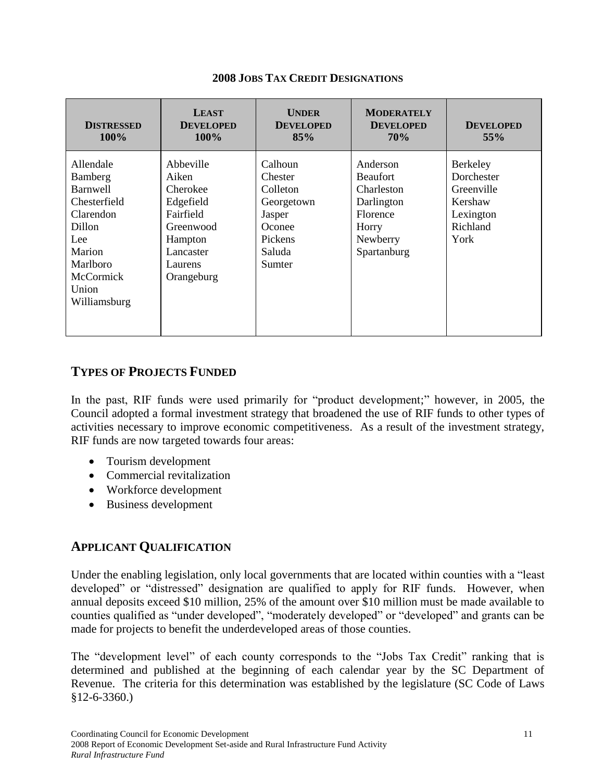<span id="page-12-0"></span>

| <b>DISTRESSED</b><br>$100\%$                                                                                                                             | <b>LEAST</b><br><b>DEVELOPED</b><br>$100\%$                                                                            | <b>UNDER</b><br><b>DEVELOPED</b><br>85%                                                         | <b>MODERATELY</b><br><b>DEVELOPED</b><br><b>70%</b>                                                     | <b>DEVELOPED</b><br>55%                                                          |
|----------------------------------------------------------------------------------------------------------------------------------------------------------|------------------------------------------------------------------------------------------------------------------------|-------------------------------------------------------------------------------------------------|---------------------------------------------------------------------------------------------------------|----------------------------------------------------------------------------------|
| Allendale<br>Bamberg<br><b>Barnwell</b><br>Chesterfield<br>Clarendon<br>Dillon<br>Lee<br>Marion<br><b>Marlboro</b><br>McCormick<br>Union<br>Williamsburg | Abbeville<br>Aiken<br>Cherokee<br>Edgefield<br>Fairfield<br>Greenwood<br>Hampton<br>Lancaster<br>Laurens<br>Orangeburg | Calhoun<br>Chester<br>Colleton<br>Georgetown<br>Jasper<br>Oconee<br>Pickens<br>Saluda<br>Sumter | Anderson<br><b>Beaufort</b><br>Charleston<br>Darlington<br>Florence<br>Horry<br>Newberry<br>Spartanburg | Berkeley<br>Dorchester<br>Greenville<br>Kershaw<br>Lexington<br>Richland<br>York |

#### **2008 JOBS TAX CREDIT DESIGNATIONS**

## <span id="page-12-1"></span>**TYPES OF PROJECTS FUNDED**

In the past, RIF funds were used primarily for "product development;" however, in 2005, the Council adopted a formal investment strategy that broadened the use of RIF funds to other types of activities necessary to improve economic competitiveness. As a result of the investment strategy, RIF funds are now targeted towards four areas:

- Tourism development
- Commercial revitalization
- Workforce development
- Business development

## <span id="page-12-2"></span>**APPLICANT QUALIFICATION**

Under the enabling legislation, only local governments that are located within counties with a "least developed" or "distressed" designation are qualified to apply for RIF funds. However, when annual deposits exceed \$10 million, 25% of the amount over \$10 million must be made available to counties qualified as "under developed", "moderately developed" or "developed" and grants can be made for projects to benefit the underdeveloped areas of those counties.

The "development level" of each county corresponds to the "Jobs Tax Credit" ranking that is determined and published at the beginning of each calendar year by the SC Department of Revenue. The criteria for this determination was established by the legislature (SC Code of Laws §12-6-3360.)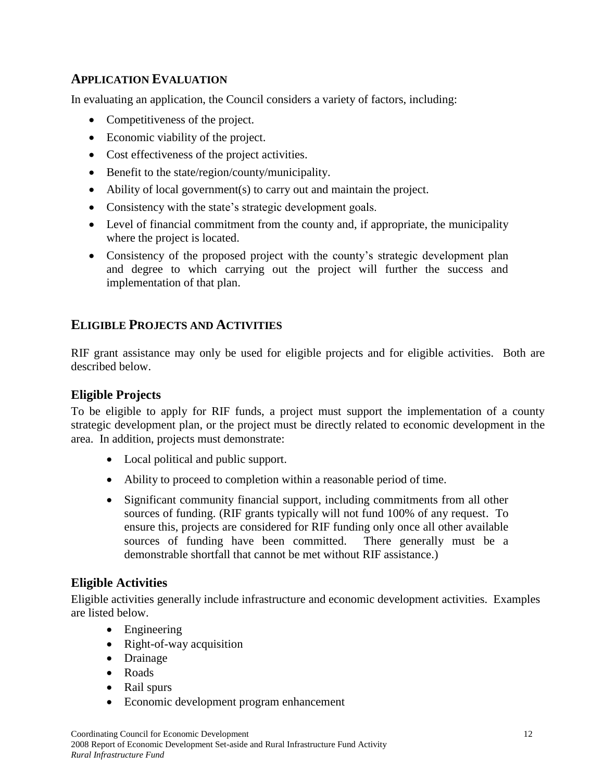## <span id="page-13-0"></span>**APPLICATION EVALUATION**

In evaluating an application, the Council considers a variety of factors, including:

- Competitiveness of the project.
- Economic viability of the project.
- Cost effectiveness of the project activities.
- Benefit to the state/region/county/municipality.
- Ability of local government(s) to carry out and maintain the project.
- Consistency with the state's strategic development goals.
- Level of financial commitment from the county and, if appropriate, the municipality where the project is located.
- Consistency of the proposed project with the county's strategic development plan and degree to which carrying out the project will further the success and implementation of that plan.

## <span id="page-13-1"></span>**ELIGIBLE PROJECTS AND ACTIVITIES**

RIF grant assistance may only be used for eligible projects and for eligible activities. Both are described below.

## **Eligible Projects**

To be eligible to apply for RIF funds, a project must support the implementation of a county strategic development plan, or the project must be directly related to economic development in the area. In addition, projects must demonstrate:

- Local political and public support.
- Ability to proceed to completion within a reasonable period of time.
- Significant community financial support, including commitments from all other sources of funding. (RIF grants typically will not fund 100% of any request. To ensure this, projects are considered for RIF funding only once all other available sources of funding have been committed. There generally must be a demonstrable shortfall that cannot be met without RIF assistance.)

## **Eligible Activities**

Eligible activities generally include infrastructure and economic development activities. Examples are listed below.

- Engineering
- Right-of-way acquisition
- Drainage
- Roads
- Rail spurs
- Economic development program enhancement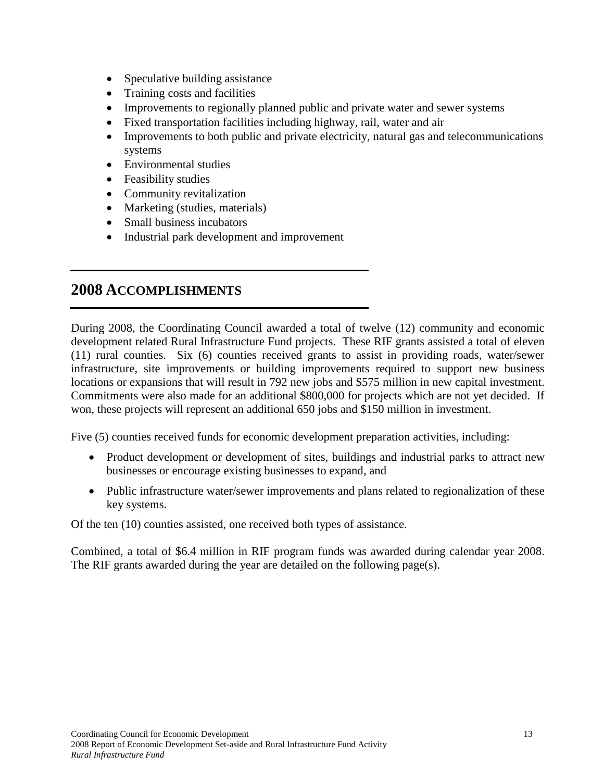- Speculative building assistance
- Training costs and facilities
- Improvements to regionally planned public and private water and sewer systems
- Fixed transportation facilities including highway, rail, water and air
- Improvements to both public and private electricity, natural gas and telecommunications systems
- Environmental studies
- Feasibility studies
- Community revitalization
- Marketing (studies, materials)
- Small business incubators
- Industrial park development and improvement

## <span id="page-14-0"></span>**2008 ACCOMPLISHMENTS**

During 2008, the Coordinating Council awarded a total of twelve (12) community and economic development related Rural Infrastructure Fund projects. These RIF grants assisted a total of eleven (11) rural counties. Six (6) counties received grants to assist in providing roads, water/sewer infrastructure, site improvements or building improvements required to support new business locations or expansions that will result in 792 new jobs and \$575 million in new capital investment. Commitments were also made for an additional \$800,000 for projects which are not yet decided. If won, these projects will represent an additional 650 jobs and \$150 million in investment.

Five  $(5)$  counties received funds for economic development preparation activities, including:

- Product development or development of sites, buildings and industrial parks to attract new businesses or encourage existing businesses to expand, and
- Public infrastructure water/sewer improvements and plans related to regionalization of these key systems.

Of the ten (10) counties assisted, one received both types of assistance.

Combined, a total of \$6.4 million in RIF program funds was awarded during calendar year 2008. The RIF grants awarded during the year are detailed on the following page(s).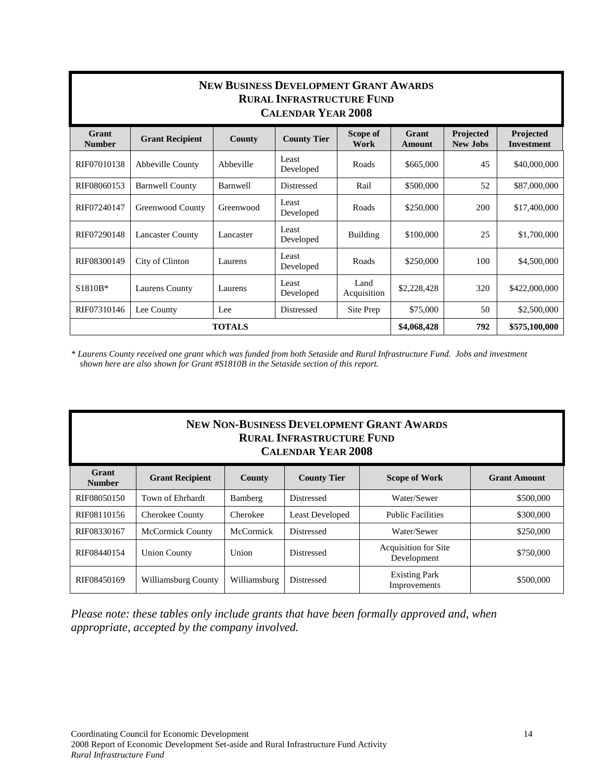| <b>NEW BUSINESS DEVELOPMENT GRANT AWARDS</b><br><b>RURAL INFRASTRUCTURE FUND</b><br><b>CALENDAR YEAR 2008</b> |                                                      |           |                    |                     |                 |                              |                                |  |
|---------------------------------------------------------------------------------------------------------------|------------------------------------------------------|-----------|--------------------|---------------------|-----------------|------------------------------|--------------------------------|--|
| Grant<br><b>Number</b>                                                                                        | <b>Grant Recipient</b>                               | County    | <b>County Tier</b> | Scope of<br>Work    | Grant<br>Amount | Projected<br><b>New Jobs</b> | Projected<br><b>Investment</b> |  |
| RIF07010138                                                                                                   | Abbeville County                                     | Abbeville | Least<br>Developed | Roads               | \$665,000       | 45                           | \$40,000,000                   |  |
| RIF08060153                                                                                                   | <b>Barnwell County</b>                               | Barnwell  | Distressed         | Rail                | \$500,000       | 52                           | \$87,000,000                   |  |
| RIF07240147                                                                                                   | Greenwood County                                     | Greenwood | Least<br>Developed | Roads               | \$250,000       | 200                          | \$17,400,000                   |  |
| RIF07290148                                                                                                   | <b>Lancaster County</b>                              | Lancaster | Least<br>Developed | Building            | \$100,000       | 25                           | \$1,700,000                    |  |
| RIF08300149                                                                                                   | City of Clinton                                      | Laurens   | Least<br>Developed | Roads               | \$250,000       | 100                          | \$4,500,000                    |  |
| S1810B*                                                                                                       | <b>Laurens County</b>                                | Laurens   | Least<br>Developed | Land<br>Acquisition | \$2,228,428     | 320                          | \$422,000,000                  |  |
| RIF07310146                                                                                                   | Lee County                                           | Lee       | Distressed         | Site Prep           | \$75,000        | 50                           | \$2,500,000                    |  |
|                                                                                                               | <b>TOTALS</b><br>\$4,068,428<br>792<br>\$575,100,000 |           |                    |                     |                 |                              |                                |  |

*\* Laurens County received one grant which was funded from both Setaside and Rural Infrastructure Fund. Jobs and investment shown here are also shown for Grant #S1810B in the Setaside section of this report.*

| <b>NEW NON-BUSINESS DEVELOPMENT GRANT AWARDS</b><br><b>RURAL INFRASTRUCTURE FUND</b><br><b>CALENDAR YEAR 2008</b> |                         |                  |                        |                                            |                     |  |  |
|-------------------------------------------------------------------------------------------------------------------|-------------------------|------------------|------------------------|--------------------------------------------|---------------------|--|--|
| Grant<br><b>Number</b>                                                                                            | <b>Grant Recipient</b>  | County           | <b>County Tier</b>     | <b>Scope of Work</b>                       | <b>Grant Amount</b> |  |  |
| RIF08050150                                                                                                       | Town of Ehrhardt        | Bamberg          | <b>Distressed</b>      | Water/Sewer                                | \$500,000           |  |  |
| RIF08110156                                                                                                       | <b>Cherokee County</b>  | Cherokee         | <b>Least Developed</b> | <b>Public Facilities</b>                   | \$300,000           |  |  |
| RIF08330167                                                                                                       | <b>McCormick County</b> | <b>McCormick</b> | <b>Distressed</b>      | Water/Sewer                                | \$250,000           |  |  |
| RIF08440154                                                                                                       | <b>Union County</b>     | Union            | <b>Distressed</b>      | <b>Acquisition for Site</b><br>Development | \$750,000           |  |  |
| RIF08450169                                                                                                       | Williamsburg County     | Williamsburg     | <b>Distressed</b>      | <b>Existing Park</b><br>Improvements       | \$500,000           |  |  |

*Please note: these tables only include grants that have been formally approved and, when appropriate, accepted by the company involved.*